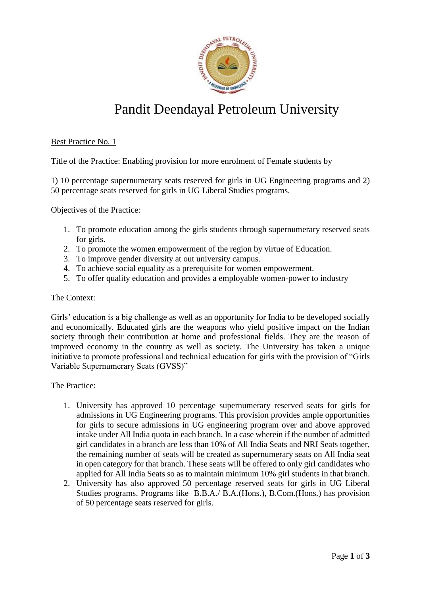

# Pandit Deendayal Petroleum University

## Best Practice No. 1

Title of the Practice: Enabling provision for more enrolment of Female students by

1) 10 percentage supernumerary seats reserved for girls in UG Engineering programs and 2) 50 percentage seats reserved for girls in UG Liberal Studies programs.

Objectives of the Practice:

- 1. To promote education among the girls students through supernumerary reserved seats for girls.
- 2. To promote the women empowerment of the region by virtue of Education.
- 3. To improve gender diversity at out university campus.
- 4. To achieve social equality as a prerequisite for women empowerment.
- 5. To offer quality education and provides a employable women-power to industry

#### The Context:

Girls' education is a big challenge as well as an opportunity for India to be developed socially and economically. Educated girls are the weapons who yield positive impact on the Indian society through their contribution at home and professional fields. They are the reason of improved economy in the country as well as society. The University has taken a unique initiative to promote professional and technical education for girls with the provision of "Girls Variable Supernumerary Seats (GVSS)"

## The Practice:

- 1. University has approved 10 percentage supernumerary reserved seats for girls for admissions in UG Engineering programs. This provision provides ample opportunities for girls to secure admissions in UG engineering program over and above approved intake under All India quota in each branch. In a case wherein if the number of admitted girl candidates in a branch are less than 10% of All India Seats and NRI Seats together, the remaining number of seats will be created as supernumerary seats on All India seat in open category for that branch. These seats will be offered to only girl candidates who applied for All India Seats so as to maintain minimum 10% girl students in that branch.
- 2. University has also approved 50 percentage reserved seats for girls in UG Liberal Studies programs. Programs like B.B.A./ B.A.(Hons.), B.Com.(Hons.) has provision of 50 percentage seats reserved for girls.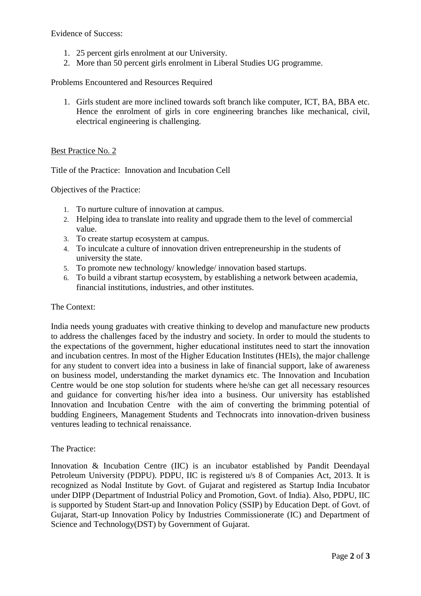Evidence of Success:

- 1. 25 percent girls enrolment at our University.
- 2. More than 50 percent girls enrolment in Liberal Studies UG programme.

## Problems Encountered and Resources Required

1. Girls student are more inclined towards soft branch like computer, ICT, BA, BBA etc. Hence the enrolment of girls in core engineering branches like mechanical, civil, electrical engineering is challenging.

## Best Practice No. 2

Title of the Practice: Innovation and Incubation Cell

Objectives of the Practice:

- 1. To nurture culture of innovation at campus.
- 2. Helping idea to translate into reality and upgrade them to the level of commercial value.
- 3. To create startup ecosystem at campus.
- 4. To inculcate a culture of innovation driven entrepreneurship in the students of university the state.
- 5. To promote new technology/ knowledge/ innovation based startups.
- 6. To build a vibrant startup ecosystem, by establishing a network between academia, financial institutions, industries, and other institutes.

#### The Context:

India needs young graduates with creative thinking to develop and manufacture new products to address the challenges faced by the industry and society. In order to mould the students to the expectations of the government, higher educational institutes need to start the innovation and incubation centres. In most of the Higher Education Institutes (HEIs), the major challenge for any student to convert idea into a business in lake of financial support, lake of awareness on business model, understanding the market dynamics etc. The Innovation and Incubation Centre would be one stop solution for students where he/she can get all necessary resources and guidance for converting his/her idea into a business. Our university has established Innovation and Incubation Centre with the aim of converting the brimming potential of budding Engineers, Management Students and Technocrats into innovation-driven business ventures leading to technical renaissance.

## The Practice:

Innovation & Incubation Centre (IIC) is an incubator established by Pandit Deendayal Petroleum University (PDPU). PDPU, IIC is registered u/s 8 of Companies Act, 2013. It is recognized as Nodal Institute by Govt. of Gujarat and registered as Startup India Incubator under DIPP (Department of Industrial Policy and Promotion, Govt. of India). Also, PDPU, IIC is supported by Student Start-up and Innovation Policy (SSIP) by Education Dept. of Govt. of Gujarat, Start-up Innovation Policy by Industries Commissionerate (IC) and Department of Science and Technology(DST) by Government of Gujarat.